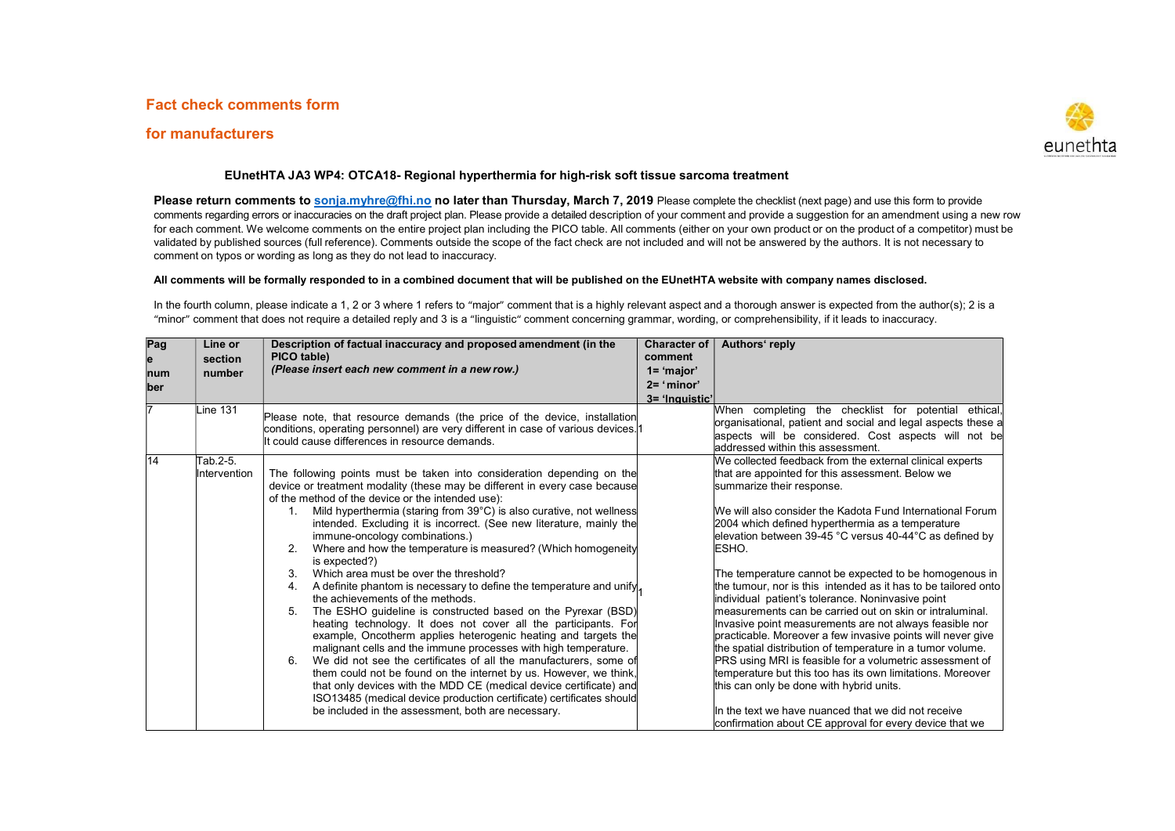## Fact check comments form

## for manufacturers



## EUnetHTA JA3 WP4: OTCA18- Regional hyperthermia for high-risk soft tissue sarcoma treatment

Please return comments to sonja.myhre@fhi.no no later than Thursday, March 7, 2019 Please complete the checklist (next page) and use this form to provide comments regarding errors or inaccuracies on the draft project plan. Please provide a detailed description of your comment and provide a suggestion for an amendment using a new row for each comment. We welcome comments on the entire project plan including the PICO table. All comments (either on your own product or on the product of a competitor) must be validated by published sources (full reference). Comments outside the scope of the fact check are not included and will not be answered by the authors. It is not necessary to comment on typos or wording as long as they do not lead to inaccuracy.

## All comments will be formally responded to in a combined document that will be published on the EUnetHTA website with company names disclosed.

In the fourth column, please indicate a 1, 2 or 3 where 1 refers to "major" comment that is a highly relevant aspect and a thorough answer is expected from the author(s); 2 is a "minor" comment that does not require a detailed reply and 3 is a "linguistic" comment concerning grammar, wording, or comprehensibility, if it leads to inaccuracy.

| Pag<br>e<br>num | Line or<br>section<br>number | Description of factual inaccuracy and proposed amendment (in the<br>PICO table)<br>(Please insert each new comment in a new row.)                                                                                                                                                                                                                                                                                                                                                                                                                                                                                                                                                                                                                                                                                                                                                                                                                                                                                                                                                                                                                                                                                                                                                      | <b>Character of</b><br>comment<br>$1 = 'major'$ | Authors' reply                                                                                                                                                                                                                                                                                                                                                                                                                                                                                                                                                                                                                                                                                                                                                                                                                                                                                                                                                                                                                                                |
|-----------------|------------------------------|----------------------------------------------------------------------------------------------------------------------------------------------------------------------------------------------------------------------------------------------------------------------------------------------------------------------------------------------------------------------------------------------------------------------------------------------------------------------------------------------------------------------------------------------------------------------------------------------------------------------------------------------------------------------------------------------------------------------------------------------------------------------------------------------------------------------------------------------------------------------------------------------------------------------------------------------------------------------------------------------------------------------------------------------------------------------------------------------------------------------------------------------------------------------------------------------------------------------------------------------------------------------------------------|-------------------------------------------------|---------------------------------------------------------------------------------------------------------------------------------------------------------------------------------------------------------------------------------------------------------------------------------------------------------------------------------------------------------------------------------------------------------------------------------------------------------------------------------------------------------------------------------------------------------------------------------------------------------------------------------------------------------------------------------------------------------------------------------------------------------------------------------------------------------------------------------------------------------------------------------------------------------------------------------------------------------------------------------------------------------------------------------------------------------------|
| <b>ber</b>      |                              |                                                                                                                                                                                                                                                                                                                                                                                                                                                                                                                                                                                                                                                                                                                                                                                                                                                                                                                                                                                                                                                                                                                                                                                                                                                                                        | $2 = 'minor'$<br>3= 'Inquistic'                 |                                                                                                                                                                                                                                                                                                                                                                                                                                                                                                                                                                                                                                                                                                                                                                                                                                                                                                                                                                                                                                                               |
| 17              | <b>Line 131</b>              | Please note, that resource demands (the price of the device, installation<br>conditions, operating personnel) are very different in case of various devices. 1<br>It could cause differences in resource demands.                                                                                                                                                                                                                                                                                                                                                                                                                                                                                                                                                                                                                                                                                                                                                                                                                                                                                                                                                                                                                                                                      |                                                 | When completing the checklist for potential ethical,<br>organisational, patient and social and legal aspects these a<br>aspects will be considered. Cost aspects will not be<br>addressed within this assessment.                                                                                                                                                                                                                                                                                                                                                                                                                                                                                                                                                                                                                                                                                                                                                                                                                                             |
| 14              | Tab.2-5.<br>Intervention     | The following points must be taken into consideration depending on the<br>device or treatment modality (these may be different in every case because<br>of the method of the device or the intended use):<br>Mild hyperthermia (staring from 39°C) is also curative, not wellness<br>intended. Excluding it is incorrect. (See new literature, mainly the<br>immune-oncology combinations.)<br>Where and how the temperature is measured? (Which homogeneity<br>2.<br>is expected?)<br>3<br>Which area must be over the threshold?<br>A definite phantom is necessary to define the temperature and unify,<br>4.<br>the achievements of the methods.<br>The ESHO guideline is constructed based on the Pyrexar (BSD)<br>5.<br>heating technology. It does not cover all the participants. For<br>example, Oncotherm applies heterogenic heating and targets the<br>malignant cells and the immune processes with high temperature.<br>6.<br>We did not see the certificates of all the manufacturers, some of<br>them could not be found on the internet by us. However, we think,<br>that only devices with the MDD CE (medical device certificate) and<br>ISO13485 (medical device production certificate) certificates should<br>be included in the assessment, both are necessary. |                                                 | We collected feedback from the external clinical experts<br>that are appointed for this assessment. Below we<br>summarize their response.<br>We will also consider the Kadota Fund International Forum<br>2004 which defined hyperthermia as a temperature<br>lelevation between 39-45 °C versus 40-44 °C as defined by<br>ESHO.<br>The temperature cannot be expected to be homogenous in<br>the tumour, nor is this intended as it has to be tailored onto<br>individual patient's tolerance. Noninvasive point<br>measurements can be carried out on skin or intraluminal.<br>Invasive point measurements are not always feasible nor<br>practicable. Moreover a few invasive points will never give<br>the spatial distribution of temperature in a tumor volume.<br>PRS using MRI is feasible for a volumetric assessment of<br>temperature but this too has its own limitations. Moreover<br>this can only be done with hybrid units.<br>In the text we have nuanced that we did not receive<br>confirmation about CE approval for every device that we |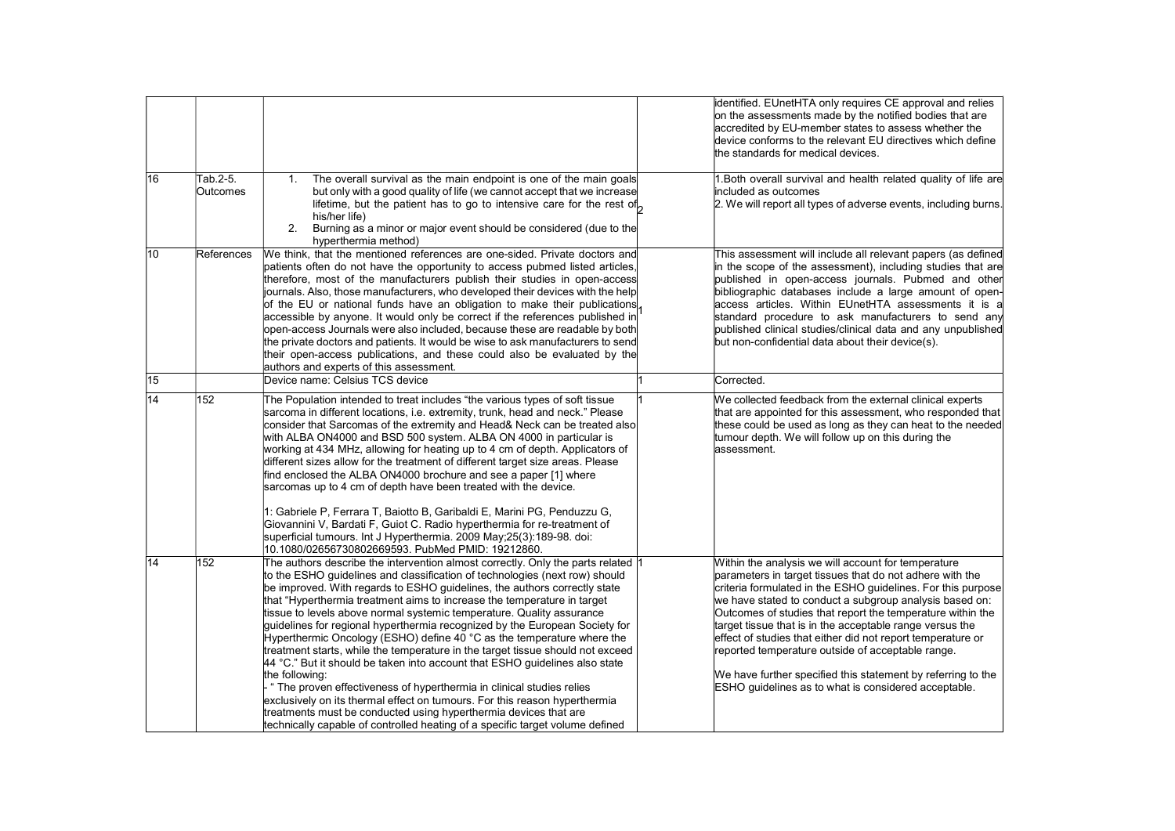|                 |                      |                                                                                                                                                                                                                                                                                                                                                                                                                                                                                                                                                                                                                                                                                                                                                                                                                                                                                                                                                                                                                                                          | identified. EUnetHTA only requires CE approval and relies<br>on the assessments made by the notified bodies that are<br>accredited by EU-member states to assess whether the<br>device conforms to the relevant EU directives which define<br>the standards for medical devices.                                                                                                                                                                                                                                                                                                                                 |
|-----------------|----------------------|----------------------------------------------------------------------------------------------------------------------------------------------------------------------------------------------------------------------------------------------------------------------------------------------------------------------------------------------------------------------------------------------------------------------------------------------------------------------------------------------------------------------------------------------------------------------------------------------------------------------------------------------------------------------------------------------------------------------------------------------------------------------------------------------------------------------------------------------------------------------------------------------------------------------------------------------------------------------------------------------------------------------------------------------------------|------------------------------------------------------------------------------------------------------------------------------------------------------------------------------------------------------------------------------------------------------------------------------------------------------------------------------------------------------------------------------------------------------------------------------------------------------------------------------------------------------------------------------------------------------------------------------------------------------------------|
| 16              | Tab.2-5.<br>Outcomes | The overall survival as the main endpoint is one of the main goals<br>1.<br>but only with a good quality of life (we cannot accept that we increase<br>lifetime, but the patient has to go to intensive care for the rest of<br>his/her life)<br>2.<br>Burning as a minor or major event should be considered (due to the<br>hyperthermia method)                                                                                                                                                                                                                                                                                                                                                                                                                                                                                                                                                                                                                                                                                                        | 1. Both overall survival and health related quality of life are<br>included as outcomes<br>2. We will report all types of adverse events, including burns.                                                                                                                                                                                                                                                                                                                                                                                                                                                       |
| 10              | References           | We think, that the mentioned references are one-sided. Private doctors and<br>patients often do not have the opportunity to access pubmed listed articles,<br>therefore, most of the manufacturers publish their studies in open-access<br>journals. Also, those manufacturers, who developed their devices with the help<br>of the EU or national funds have an obligation to make their publications<br>accessible by anyone. It would only be correct if the references published in<br>open-access Journals were also included, because these are readable by both<br>the private doctors and patients. It would be wise to ask manufacturers to send<br>their open-access publications, and these could also be evaluated by the<br>authors and experts of this assessment.                                                                                                                                                                                                                                                                         | This assessment will include all relevant papers (as defined<br>in the scope of the assessment), including studies that are<br>published in open-access journals. Pubmed and other<br>bibliographic databases include a large amount of open-<br>access articles. Within EUnetHTA assessments it is a<br>standard procedure to ask manufacturers to send any<br>published clinical studies/clinical data and any unpublished<br>but non-confidential data about their device(s).                                                                                                                                 |
| 15              |                      | Device name: Celsius TCS device                                                                                                                                                                                                                                                                                                                                                                                                                                                                                                                                                                                                                                                                                                                                                                                                                                                                                                                                                                                                                          | Corrected.                                                                                                                                                                                                                                                                                                                                                                                                                                                                                                                                                                                                       |
| 14              | 152                  | The Population intended to treat includes "the various types of soft tissue<br>sarcoma in different locations, i.e. extremity, trunk, head and neck." Please<br>consider that Sarcomas of the extremity and Head& Neck can be treated also<br>with ALBA ON4000 and BSD 500 system. ALBA ON 4000 in particular is<br>working at 434 MHz, allowing for heating up to 4 cm of depth. Applicators of<br>different sizes allow for the treatment of different target size areas. Please<br>find enclosed the ALBA ON4000 brochure and see a paper [1] where<br>sarcomas up to 4 cm of depth have been treated with the device.                                                                                                                                                                                                                                                                                                                                                                                                                                | We collected feedback from the external clinical experts<br>that are appointed for this assessment, who responded that<br>these could be used as long as they can heat to the needed<br>tumour depth. We will follow up on this during the<br>lassessment.                                                                                                                                                                                                                                                                                                                                                       |
|                 |                      | 1: Gabriele P, Ferrara T, Baiotto B, Garibaldi E, Marini PG, Penduzzu G,<br>Giovannini V, Bardati F, Guiot C. Radio hyperthermia for re-treatment of<br>superficial tumours. Int J Hyperthermia. 2009 May;25(3):189-98. doi:<br>10.1080/02656730802669593. PubMed PMID: 19212860.                                                                                                                                                                                                                                                                                                                                                                                                                                                                                                                                                                                                                                                                                                                                                                        |                                                                                                                                                                                                                                                                                                                                                                                                                                                                                                                                                                                                                  |
| $\overline{14}$ | $\overline{152}$     | The authors describe the intervention almost correctly. Only the parts related 1<br>to the ESHO quidelines and classification of technologies (next row) should<br>be improved. With regards to ESHO guidelines, the authors correctly state<br>that "Hyperthermia treatment aims to increase the temperature in target<br>tissue to levels above normal systemic temperature. Quality assurance<br>quidelines for regional hyperthermia recognized by the European Society for<br>Hyperthermic Oncology (ESHO) define 40 °C as the temperature where the<br>treatment starts, while the temperature in the target tissue should not exceed<br>44 °C." But it should be taken into account that ESHO guidelines also state<br>the following:<br>" The proven effectiveness of hyperthermia in clinical studies relies<br>exclusively on its thermal effect on tumours. For this reason hyperthermia<br>treatments must be conducted using hyperthermia devices that are<br>technically capable of controlled heating of a specific target volume defined | Within the analysis we will account for temperature<br>parameters in target tissues that do not adhere with the<br>criteria formulated in the ESHO guidelines. For this purpose<br>we have stated to conduct a subgroup analysis based on:<br>Outcomes of studies that report the temperature within the<br>target tissue that is in the acceptable range versus the<br>effect of studies that either did not report temperature or<br>reported temperature outside of acceptable range.<br>We have further specified this statement by referring to the<br>ESHO guidelines as to what is considered acceptable. |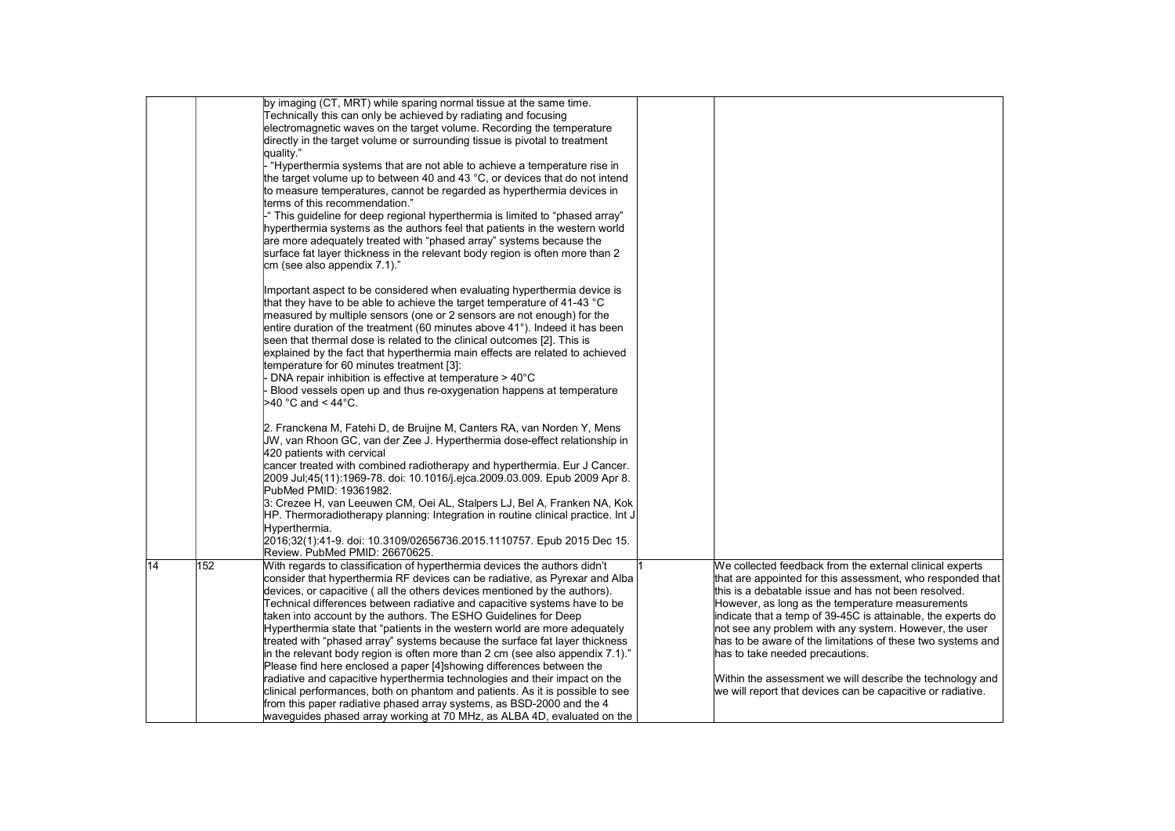|    |     | by imaging (CT, MRT) while sparing normal tissue at the same time.               |                                                              |
|----|-----|----------------------------------------------------------------------------------|--------------------------------------------------------------|
|    |     | Technically this can only be achieved by radiating and focusing                  |                                                              |
|    |     | electromagnetic waves on the target volume. Recording the temperature            |                                                              |
|    |     | directly in the target volume or surrounding tissue is pivotal to treatment      |                                                              |
|    |     | quality."                                                                        |                                                              |
|    |     | "Hyperthermia systems that are not able to achieve a temperature rise in         |                                                              |
|    |     | the target volume up to between 40 and 43 °C, or devices that do not intend      |                                                              |
|    |     | to measure temperatures, cannot be regarded as hyperthermia devices in           |                                                              |
|    |     | terms of this recommendation."                                                   |                                                              |
|    |     |                                                                                  |                                                              |
|    |     | " This guideline for deep regional hyperthermia is limited to "phased array"     |                                                              |
|    |     | hyperthermia systems as the authors feel that patients in the western world      |                                                              |
|    |     | are more adequately treated with "phased array" systems because the              |                                                              |
|    |     | surface fat layer thickness in the relevant body region is often more than 2     |                                                              |
|    |     | cm (see also appendix 7.1)."                                                     |                                                              |
|    |     | Important aspect to be considered when evaluating hyperthermia device is         |                                                              |
|    |     | that they have to be able to achieve the target temperature of 41-43 °C          |                                                              |
|    |     | measured by multiple sensors (one or 2 sensors are not enough) for the           |                                                              |
|    |     | entire duration of the treatment (60 minutes above 41°). Indeed it has been      |                                                              |
|    |     | seen that thermal dose is related to the clinical outcomes [2]. This is          |                                                              |
|    |     | explained by the fact that hyperthermia main effects are related to achieved     |                                                              |
|    |     | temperature for 60 minutes treatment [3]:                                        |                                                              |
|    |     | DNA repair inhibition is effective at temperature $>$ 40 $^{\circ}$ C            |                                                              |
|    |     | Blood vessels open up and thus re-oxygenation happens at temperature             |                                                              |
|    |     | >40 °C and < 44°C.                                                               |                                                              |
|    |     |                                                                                  |                                                              |
|    |     | 2. Franckena M, Fatehi D, de Bruijne M, Canters RA, van Norden Y, Mens           |                                                              |
|    |     | JW, van Rhoon GC, van der Zee J. Hyperthermia dose-effect relationship in        |                                                              |
|    |     | 420 patients with cervical                                                       |                                                              |
|    |     | cancer treated with combined radiotherapy and hyperthermia. Eur J Cancer.        |                                                              |
|    |     | 2009 Jul;45(11):1969-78. doi: 10.1016/j.ejca.2009.03.009. Epub 2009 Apr 8.       |                                                              |
|    |     | PubMed PMID: 19361982.                                                           |                                                              |
|    |     | 3: Crezee H, van Leeuwen CM, Oei AL, Stalpers LJ, Bel A, Franken NA, Kok         |                                                              |
|    |     | HP. Thermoradiotherapy planning: Integration in routine clinical practice. Int J |                                                              |
|    |     | Hyperthermia.                                                                    |                                                              |
|    |     | 2016;32(1):41-9. doi: 10.3109/02656736.2015.1110757. Epub 2015 Dec 15.           |                                                              |
|    |     | Review. PubMed PMID: 26670625.                                                   |                                                              |
| 14 | 152 | With regards to classification of hyperthermia devices the authors didn't        | We collected feedback from the external clinical experts     |
|    |     | consider that hyperthermia RF devices can be radiative, as Pyrexar and Alba      | that are appointed for this assessment, who responded that   |
|    |     | devices, or capacitive (all the others devices mentioned by the authors).        | this is a debatable issue and has not been resolved.         |
|    |     | Technical differences between radiative and capacitive systems have to be        | However, as long as the temperature measurements             |
|    |     | taken into account by the authors. The ESHO Guidelines for Deep                  | indicate that a temp of 39-45C is attainable, the experts do |
|    |     | Hyperthermia state that "patients in the western world are more adequately       | not see any problem with any system. However, the user       |
|    |     | treated with "phased array" systems because the surface fat layer thickness      | has to be aware of the limitations of these two systems and  |
|    |     | in the relevant body region is often more than 2 cm (see also appendix 7.1)."    | has to take needed precautions.                              |
|    |     | Please find here enclosed a paper [4]showing differences between the             |                                                              |
|    |     | radiative and capacitive hyperthermia technologies and their impact on the       | Within the assessment we will describe the technology and    |
|    |     | clinical performances, both on phantom and patients. As it is possible to see    | we will report that devices can be capacitive or radiative.  |
|    |     | from this paper radiative phased array systems, as BSD-2000 and the 4            |                                                              |
|    |     | waveguides phased array working at 70 MHz, as ALBA 4D, evaluated on the          |                                                              |
|    |     |                                                                                  |                                                              |